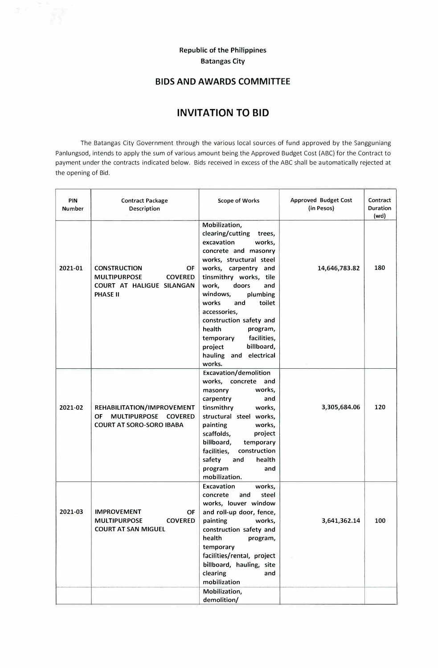## **Republic of the Philippines Batangas City**

## **BIDS AND AWARDS COMMITTEE**

## **INVITATION TO BID**

The Batangas City Government through the various local sources of fund approved by the Sangguniang Panlungsod, intends to apply the sum of various amount being the Approved Budget Cost (ABC) for the Contract to payment under the contracts indicated below. Bids received in excess of the ABC shall be automatically rejected at the opening of Bid.

| PIN<br><b>Number</b> | <b>Contract Package</b><br><b>Description</b>                                                                      | <b>Scope of Works</b>                                                                                                                                                                                                                                                                                                                                                                                         | <b>Approved Budget Cost</b><br>(in Pesos) | Contract<br><b>Duration</b><br>(wd) |
|----------------------|--------------------------------------------------------------------------------------------------------------------|---------------------------------------------------------------------------------------------------------------------------------------------------------------------------------------------------------------------------------------------------------------------------------------------------------------------------------------------------------------------------------------------------------------|-------------------------------------------|-------------------------------------|
| 2021-01              | ΟF<br><b>CONSTRUCTION</b><br><b>MULTIPURPOSE</b><br><b>COVERED</b><br>COURT AT HALIGUE SILANGAN<br><b>PHASE II</b> | Mobilization,<br>clearing/cutting<br>trees,<br>excavation<br>works,<br>concrete and masonry<br>works, structural steel<br>works, carpentry and<br>tinsmithry works, tile<br>work,<br>doors<br>and<br>windows,<br>plumbing<br>toilet<br>works<br>and<br>accessories,<br>construction safety and<br>health<br>program,<br>facilities,<br>temporary<br>billboard,<br>project<br>hauling and electrical<br>works. | 14,646,783.82                             | 180                                 |
| 2021-02              | REHABILITATION/IMPROVEMENT<br>OF<br><b>MULTIPURPOSE</b><br><b>COVERED</b><br><b>COURT AT SORO-SORO IBABA</b>       | <b>Excavation/demolition</b><br>works, concrete and<br>works,<br>masonry<br>carpentry<br>and<br>tinsmithry<br>works,<br>structural steel works,<br>painting<br>works,<br>scaffolds,<br>project<br>billboard,<br>temporary<br>facilities,<br>construction<br>safety<br>health<br>and<br>program<br>and<br>mobilization.                                                                                        | 3,305,684.06                              | 120                                 |
| 2021-03              | <b>IMPROVEMENT</b><br>OF<br><b>MULTIPURPOSE</b><br><b>COVERED</b><br><b>COURT AT SAN MIGUEL</b>                    | Excavation<br>works,<br>and<br>steel<br>concrete<br>works, louver window<br>and roll-up door, fence,<br>painting<br>works,<br>construction safety and<br>health<br>program,<br>temporary<br>facilities/rental, project<br>billboard, hauling, site<br>clearing<br>and<br>mobilization<br>Mobilization,                                                                                                        | 3,641,362.14                              | 100                                 |
|                      |                                                                                                                    | demolition/                                                                                                                                                                                                                                                                                                                                                                                                   |                                           |                                     |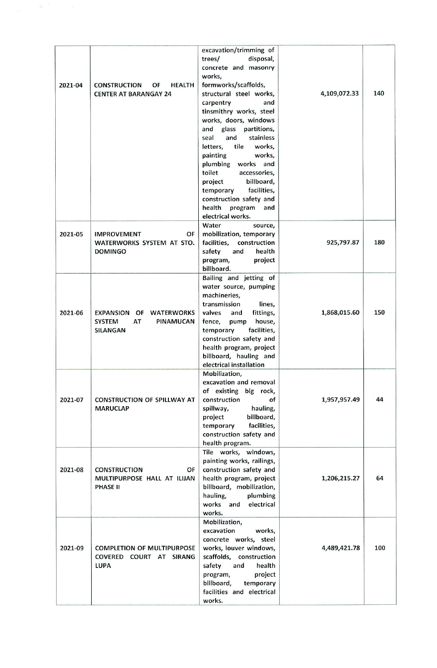| 2021-04 | <b>CONSTRUCTION</b><br>OF<br><b>HEALTH</b><br><b>CENTER AT BARANGAY 24</b>                                | excavation/trimming of<br>disposal,<br>trees/<br>concrete and masonry<br>works,<br>formworks/scaffolds,<br>structural steel works,<br>and<br>carpentry<br>tinsmithry works, steel<br>works, doors, windows<br>glass<br>and<br>partitions,<br>stainless<br>and<br>seal<br>tile<br>works,<br>letters,<br>painting<br>works,<br>plumbing works and<br>toilet<br>accessories,<br>billboard,<br>project<br>facilities,<br>temporary<br>construction safety and<br>health<br>program<br>and<br>electrical works. | 4,109,072.33 | 140 |
|---------|-----------------------------------------------------------------------------------------------------------|------------------------------------------------------------------------------------------------------------------------------------------------------------------------------------------------------------------------------------------------------------------------------------------------------------------------------------------------------------------------------------------------------------------------------------------------------------------------------------------------------------|--------------|-----|
| 2021-05 | <b>IMPROVEMENT</b><br>OF<br>WATERWORKS SYSTEM AT STO.<br><b>DOMINGO</b>                                   | Water<br>source,<br>mobilization, temporary<br>facilities,<br>construction<br>safety<br>health<br>and<br>program,<br>project<br>billboard.                                                                                                                                                                                                                                                                                                                                                                 | 925,797.87   | 180 |
| 2021-06 | <b>EXPANSION</b><br><b>WATERWORKS</b><br>OF<br><b>SYSTEM</b><br>AT<br><b>PINAMUCAN</b><br><b>SILANGAN</b> | Bailing and jetting of<br>water source, pumping<br>machineries,<br>transmission<br>lines,<br>valves<br>fittings,<br>and<br>fence,<br>house,<br>pump<br>facilities,<br>temporary<br>construction safety and<br>health program, project<br>billboard, hauling and<br>electrical installation                                                                                                                                                                                                                 | 1,868,015.60 | 150 |
| 2021-07 | <b>CONSTRUCTION OF SPILLWAY AT</b><br><b>MARUCLAP</b>                                                     | Mobilization,<br>excavation and removal<br>of existing big rock,<br>construction<br>of<br>hauling,<br>spillway,<br>billboard,<br>project<br>facilities,<br>temporary<br>construction safety and<br>health program.                                                                                                                                                                                                                                                                                         | 1,957,957.49 | 44  |
| 2021-08 | <b>CONSTRUCTION</b><br>OF<br>MULTIPURPOSE HALL AT ILIJAN<br><b>PHASE II</b>                               | Tile works, windows,<br>painting works, railings,<br>construction safety and<br>health program, project<br>billboard, mobilization,<br>hauling,<br>plumbing<br>works and<br>electrical<br>works.                                                                                                                                                                                                                                                                                                           | 1,206,215.27 | 64  |
| 2021-09 | <b>COMPLETION OF MULTIPURPOSE</b><br>COVERED COURT AT SIRANG<br><b>LUPA</b>                               | Mobilization,<br>excavation<br>works,<br>concrete works, steel<br>works, louver windows,<br>scaffolds, construction<br>safety<br>and<br>health<br>project<br>program,<br>billboard,<br>temporary<br>facilities and electrical<br>works.                                                                                                                                                                                                                                                                    | 4,489,421.78 | 100 |

 $\frac{1}{\sqrt{2}}$  .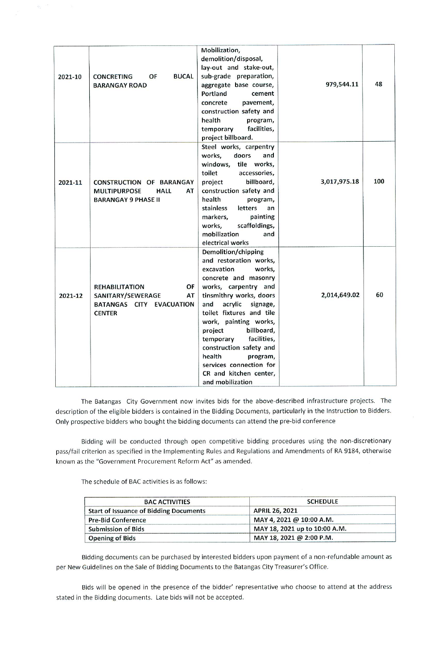| 2021-10 | <b>CONCRETING</b><br>OF<br><b>BUCAL</b><br><b>BARANGAY ROAD</b>                                           | Mobilization,<br>demolition/disposal,<br>lay-out and stake-out,<br>sub-grade preparation,<br>aggregate base course,<br>Portland<br>cement<br>concrete<br>pavement,<br>construction safety and<br>health<br>program,<br>facilities,<br>temporary<br>project billboard.                                                                                                                                              | 979,544.11   | 48  |
|---------|-----------------------------------------------------------------------------------------------------------|--------------------------------------------------------------------------------------------------------------------------------------------------------------------------------------------------------------------------------------------------------------------------------------------------------------------------------------------------------------------------------------------------------------------|--------------|-----|
| 2021-11 | <b>CONSTRUCTION OF BARANGAY</b><br><b>MULTIPURPOSE</b><br><b>HALL</b><br>AT<br><b>BARANGAY 9 PHASE II</b> | Steel works, carpentry<br>works,<br>doors<br>and<br>tile works,<br>windows,<br>toilet<br>accessories,<br>billboard,<br>project<br>construction safety and<br>health<br>program,<br>stainless<br>letters<br>an<br>markers,<br>painting<br>scaffoldings,<br>works,<br>mobilization<br>and<br>electrical works                                                                                                        | 3,017,975.18 | 100 |
| 2021-12 | OF<br><b>REHABILITATION</b><br>SANITARY/SEWERAGE<br>AT<br>BATANGAS CITY EVACUATION<br><b>CENTER</b>       | Demolition/chipping<br>and restoration works,<br>excavation<br>works,<br>concrete and masonry<br>works, carpentry and<br>tinsmithry works, doors<br>acrylic<br>and<br>signage,<br>toilet fixtures and tile<br>work, painting works,<br>billboard,<br>project<br>facilities,<br>temporary<br>construction safety and<br>health<br>program,<br>services connection for<br>CR and kitchen center,<br>and mobilization | 2,014,649.02 | 60  |

The Batangas City Government now invites bids for the above-described infrastructure projects. The description of the eligible bidders is contained in the Bidding Documents, particularly in the Instruction to Bidders. Only prospective bidders who bought the bidding documents can attend the pre-bid conference

Bidding will be conducted through open competitive bidding procedures using the non-discretionary pass/fail criterion as specified in the Implementing Rules and Regulations and Amendments of RA 9184, otherwise known as the "Government Procurement Reform Act" as amended.

The schedule of BAC activities is as follows:

| <b>BAC ACTIVITIES</b>                         | <b>SCHEDULE</b>               |
|-----------------------------------------------|-------------------------------|
| <b>Start of Issuance of Bidding Documents</b> | <b>APRIL 26, 2021</b>         |
| <b>Pre-Bid Conference</b>                     | MAY 4, 2021 @ 10:00 A.M.      |
| <b>Submission of Bids</b>                     | MAY 18, 2021 up to 10:00 A.M. |
| <b>Opening of Bids</b>                        | MAY 18, 2021 @ 2:00 P.M.      |

Bidding documents can be purchased by interested bidders upon payment of a non-refundable amount as per New Guidelines on the Sale of Bidding Documents to the Batangas City Treasurer's Office.

Bids will be opened in the presence of the bidder' representative who choose to attend at the address stated in the Bidding documents. Late bids will not be accepted.